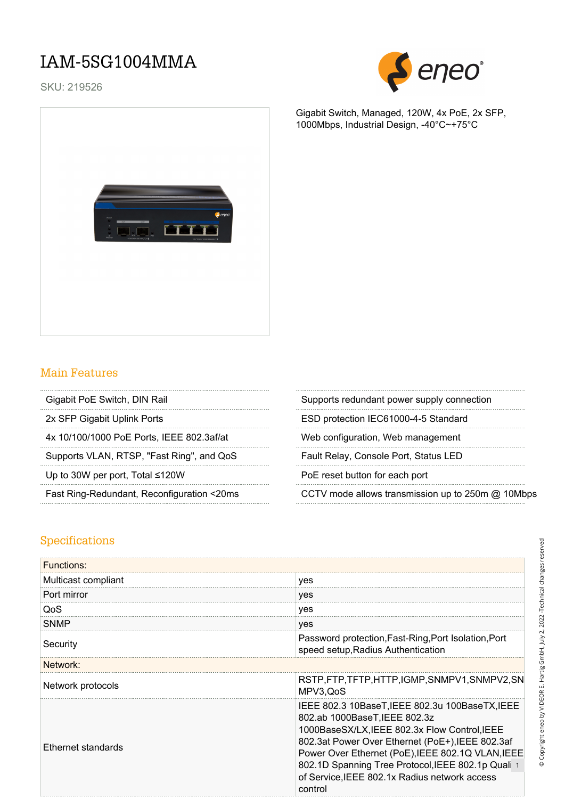## IAM-5SG1004MMA

SKU: 219526



Gigabit Switch, Managed, 120W, 4x PoE, 2x SFP, 1000Mbps, Industrial Design, -40°C~+75°C



### Main Features

| Gigabit PoE Switch, DIN Rail |  |
|------------------------------|--|
|                              |  |

4x 10/100/1000 PoE Ports, IEEE 802.3af/at Web configuration, Web management

Supports VLAN, RTSP, "Fast Ring", and QoS Fault Relay, Console Port, Status LED

Up to 30W per port, Total ≤120W PoE reset button for each port

Supports redundant power supply connection

2x SFP Gigabit Uplink Ports **ESD** protection IEC61000-4-5 Standard

Fast Ring-Redundant, Reconfiguration <20ms CCTV mode allows transmission up to 250m @ 10Mbps

### Specifications

| <b>Functions:</b>   |                                                                                                                                                                                                                                                                                                                                                              |
|---------------------|--------------------------------------------------------------------------------------------------------------------------------------------------------------------------------------------------------------------------------------------------------------------------------------------------------------------------------------------------------------|
| Multicast compliant | yes                                                                                                                                                                                                                                                                                                                                                          |
| Port mirror         | yes                                                                                                                                                                                                                                                                                                                                                          |
| QoS                 | yes                                                                                                                                                                                                                                                                                                                                                          |
| <b>SNMP</b>         | yes                                                                                                                                                                                                                                                                                                                                                          |
| Security            | Password protection, Fast-Ring, Port Isolation, Port<br>speed setup, Radius Authentication                                                                                                                                                                                                                                                                   |
| Network:            |                                                                                                                                                                                                                                                                                                                                                              |
| Network protocols   | RSTP,FTP,TFTP,HTTP,IGMP,SNMPV1,SNMPV2,SN<br>MPV3, QoS                                                                                                                                                                                                                                                                                                        |
| Ethernet standards  | IEEE 802.3 10BaseT, IEEE 802.3u 100BaseTX, IEEE<br>802.ab 1000BaseT, IEEE 802.3z<br>1000BaseSX/LX, IEEE 802.3x Flow Control, IEEE<br>802.3at Power Over Ethernet (PoE+), IEEE 802.3af<br>Power Over Ethernet (PoE), IEEE 802.1Q VLAN, IEEE<br>802.1D Spanning Tree Protocol, IEEE 802.1p Quali 1<br>of Service, IEEE 802.1x Radius network access<br>control |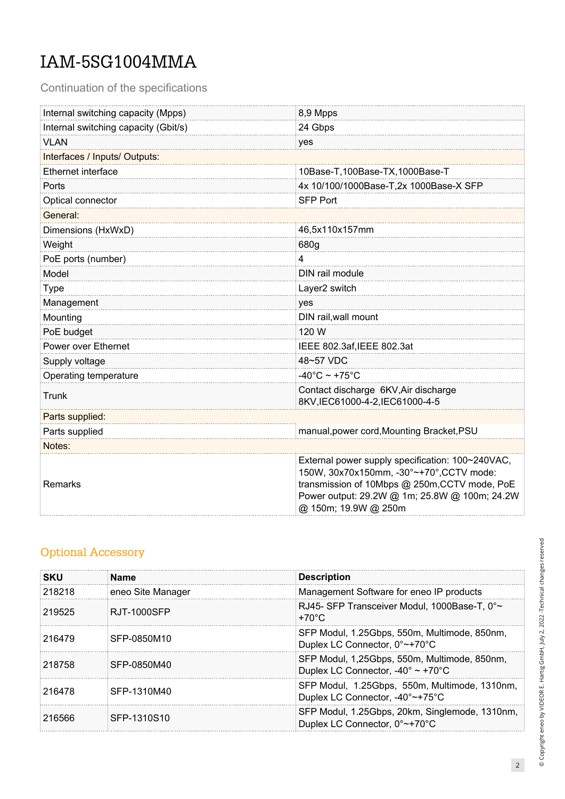# IAM-5SG1004MMA

Continuation of the specifications

| Internal switching capacity (Mpps)   | 8,9 Mpps                                                                                                                                                                                                               |
|--------------------------------------|------------------------------------------------------------------------------------------------------------------------------------------------------------------------------------------------------------------------|
| Internal switching capacity (Gbit/s) | 24 Gbps                                                                                                                                                                                                                |
| <b>VLAN</b>                          | yes                                                                                                                                                                                                                    |
| Interfaces / Inputs/ Outputs:        |                                                                                                                                                                                                                        |
| Ethernet interface                   | 10Base-T,100Base-TX,1000Base-T                                                                                                                                                                                         |
| Ports                                | 4x 10/100/1000Base-T,2x 1000Base-X SFP                                                                                                                                                                                 |
| Optical connector                    | <b>SFP Port</b>                                                                                                                                                                                                        |
| General:                             |                                                                                                                                                                                                                        |
| Dimensions (HxWxD)                   | 46,5x110x157mm                                                                                                                                                                                                         |
| Weight                               | 680g                                                                                                                                                                                                                   |
| PoE ports (number)                   | 4                                                                                                                                                                                                                      |
| Model                                | DIN rail module                                                                                                                                                                                                        |
| <b>Type</b>                          | Layer2 switch                                                                                                                                                                                                          |
| Management                           | yes                                                                                                                                                                                                                    |
| Mounting                             | DIN rail, wall mount                                                                                                                                                                                                   |
| PoE budget                           | 120 W                                                                                                                                                                                                                  |
| Power over Ethernet                  | IEEE 802.3af, IEEE 802.3at                                                                                                                                                                                             |
| Supply voltage                       | 48~57 VDC                                                                                                                                                                                                              |
| Operating temperature                | $-40^{\circ}$ C ~ +75 $^{\circ}$ C                                                                                                                                                                                     |
| Trunk                                | Contact discharge 6KV, Air discharge<br>8KV,IEC61000-4-2,IEC61000-4-5                                                                                                                                                  |
| Parts supplied:                      |                                                                                                                                                                                                                        |
| Parts supplied                       | manual, power cord, Mounting Bracket, PSU                                                                                                                                                                              |
| Notes:                               |                                                                                                                                                                                                                        |
| Remarks                              | External power supply specification: 100~240VAC,<br>150W, 30x70x150mm, -30°~+70°, CCTV mode:<br>transmission of 10Mbps @ 250m, CCTV mode, PoE<br>Power output: 29.2W @ 1m; 25.8W @ 100m; 24.2W<br>@ 150m; 19.9W @ 250m |

### Optional Accessory

| <b>SKU</b> | <b>Name</b>       | <b>Description</b>                                                                                     |
|------------|-------------------|--------------------------------------------------------------------------------------------------------|
| 218218     | eneo Site Manager | Management Software for eneo IP products                                                               |
| 219525     | RJT-1000SFP       | RJ45- SFP Transceiver Modul, 1000Base-T, 0°~<br>$+70^{\circ}$ C                                        |
| 216479     | SFP-0850M10       | SFP Modul, 1.25Gbps, 550m, Multimode, 850nm,<br>Duplex LC Connector, 0°~+70°C                          |
| 218758     | SFP-0850M40       | SFP Modul, 1,25Gbps, 550m, Multimode, 850nm,<br>Duplex LC Connector, -40 $^{\circ}$ ~ +70 $^{\circ}$ C |
| 216478     | SFP-1310M40       | SFP Modul, 1.25Gbps, 550m, Multimode, 1310nm,<br>Duplex LC Connector, -40°~+75°C                       |
| 216566     | SFP-1310S10       | SFP Modul, 1.25Gbps, 20km, Singlemode, 1310nm,<br>Duplex LC Connector, 0°~+70°C                        |